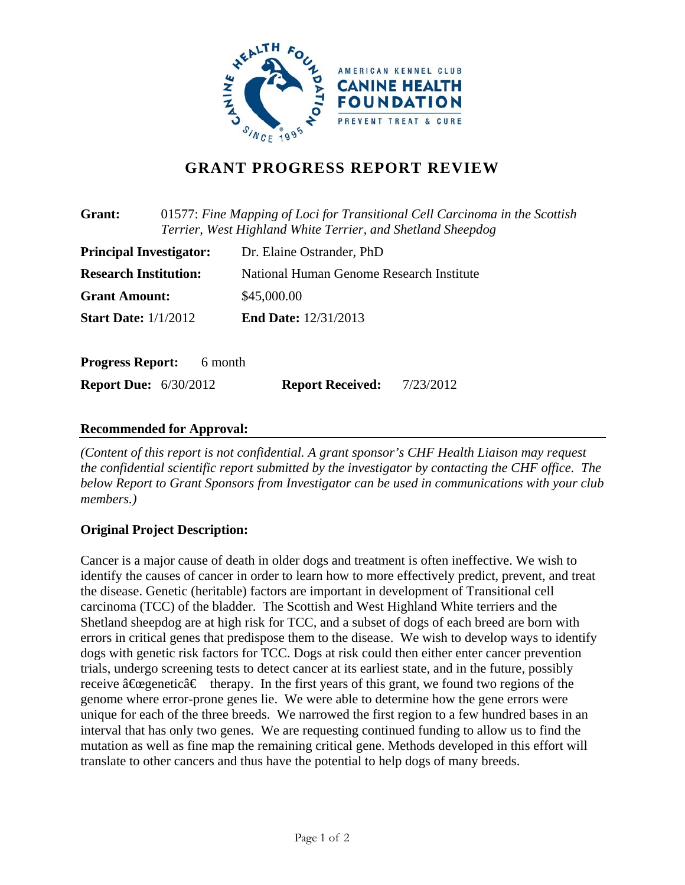

# **GRANT PROGRESS REPORT REVIEW**

| 01577: Fine Mapping of Loci for Transitional Cell Carcinoma in the Scottish<br>Grant:<br>Terrier, West Highland White Terrier, and Shetland Sheepdog |         |                                          |           |
|------------------------------------------------------------------------------------------------------------------------------------------------------|---------|------------------------------------------|-----------|
| <b>Principal Investigator:</b>                                                                                                                       |         | Dr. Elaine Ostrander, PhD                |           |
| <b>Research Institution:</b>                                                                                                                         |         | National Human Genome Research Institute |           |
| <b>Grant Amount:</b>                                                                                                                                 |         | \$45,000.00                              |           |
| <b>Start Date:</b> 1/1/2012                                                                                                                          |         | <b>End Date: 12/31/2013</b>              |           |
| <b>Progress Report:</b>                                                                                                                              | 6 month |                                          |           |
| <b>Report Due:</b> 6/30/2012                                                                                                                         |         | <b>Report Received:</b>                  | 7/23/2012 |

### **Recommended for Approval:**

*(Content of this report is not confidential. A grant sponsor's CHF Health Liaison may request the confidential scientific report submitted by the investigator by contacting the CHF office. The below Report to Grant Sponsors from Investigator can be used in communications with your club members.)* 

# **Original Project Description:**

Cancer is a major cause of death in older dogs and treatment is often ineffective. We wish to identify the causes of cancer in order to learn how to more effectively predict, prevent, and treat the disease. Genetic (heritable) factors are important in development of Transitional cell carcinoma (TCC) of the bladder. The Scottish and West Highland White terriers and the Shetland sheepdog are at high risk for TCC, and a subset of dogs of each breed are born with errors in critical genes that predispose them to the disease. We wish to develop ways to identify dogs with genetic risk factors for TCC. Dogs at risk could then either enter cancer prevention trials, undergo screening tests to detect cancer at its earliest state, and in the future, possibly receive  $\hat{a} \in \mathbb{C}$  therapy. In the first years of this grant, we found two regions of the genome where error-prone genes lie. We were able to determine how the gene errors were unique for each of the three breeds. We narrowed the first region to a few hundred bases in an interval that has only two genes. We are requesting continued funding to allow us to find the mutation as well as fine map the remaining critical gene. Methods developed in this effort will translate to other cancers and thus have the potential to help dogs of many breeds.